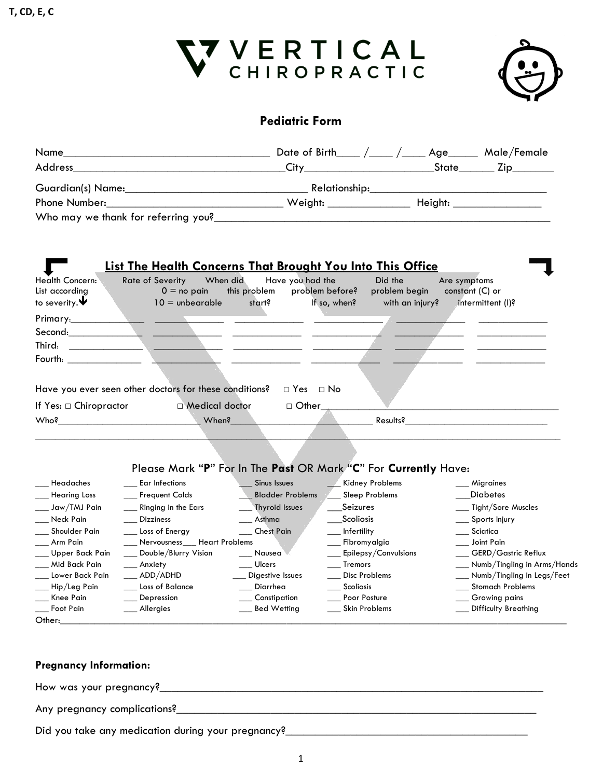



### **Pediatric Form**

| Name                                                              | <u> 1989 - Johann John Stone, markin film yn y brening yn y brening yn y brening yn y brening yn y brening yn y b</u>                                                                                                                |                                                               | Date of Birth____ $\frac{1}{2}$ /____ Age______ Male/Female |                                 |                                                                                                                                                                                                                                |  |
|-------------------------------------------------------------------|--------------------------------------------------------------------------------------------------------------------------------------------------------------------------------------------------------------------------------------|---------------------------------------------------------------|-------------------------------------------------------------|---------------------------------|--------------------------------------------------------------------------------------------------------------------------------------------------------------------------------------------------------------------------------|--|
| Address                                                           | <b>City Constitution City of the City of the City of the City of the City of the City of the City of the City of the City of the City of the City of the City of the City of the City of the City of the City of the City of the</b> |                                                               |                                                             |                                 |                                                                                                                                                                                                                                |  |
|                                                                   | Relationship:                                                                                                                                                                                                                        |                                                               |                                                             |                                 |                                                                                                                                                                                                                                |  |
| Phone Number:                                                     |                                                                                                                                                                                                                                      |                                                               |                                                             |                                 |                                                                                                                                                                                                                                |  |
|                                                                   |                                                                                                                                                                                                                                      |                                                               |                                                             |                                 |                                                                                                                                                                                                                                |  |
|                                                                   | <b>List The Health Concerns That Brought You Into This Office</b>                                                                                                                                                                    |                                                               |                                                             |                                 |                                                                                                                                                                                                                                |  |
| Health Concern:<br>List accordina<br>to severity. $\blacklozenge$ | <b>Rate of Severity</b><br>When did<br>$0 =$ no pain<br>$10 =$ unbearable                                                                                                                                                            | Have you had the<br>this problem<br>problem before?<br>start? | Did the<br>problem begin<br>If so, when?<br>with an injury? | Are symptoms<br>constant (C) or | intermittent (I)?                                                                                                                                                                                                              |  |
| Primary:                                                          |                                                                                                                                                                                                                                      |                                                               |                                                             |                                 |                                                                                                                                                                                                                                |  |
|                                                                   | <u>and the state of the state</u>                                                                                                                                                                                                    | <u> 1989 - Johann Barbara, martxa alemaniar a</u>             |                                                             |                                 |                                                                                                                                                                                                                                |  |
| Third:<br><u> 1989 - John Stone, Amerikan Stone (</u>             | <u> 1989 - Johann Barn, mars ann an t-Amhainn an t-Amhainn an t-Amhainn an t-Amhainn an t-Amhainn an t-Amhainn an </u>                                                                                                               |                                                               |                                                             |                                 |                                                                                                                                                                                                                                |  |
| Fourth: <b>Example 19</b>                                         |                                                                                                                                                                                                                                      |                                                               |                                                             |                                 |                                                                                                                                                                                                                                |  |
|                                                                   |                                                                                                                                                                                                                                      |                                                               |                                                             |                                 |                                                                                                                                                                                                                                |  |
|                                                                   |                                                                                                                                                                                                                                      |                                                               |                                                             |                                 |                                                                                                                                                                                                                                |  |
|                                                                   | Have you ever seen other doctors for these conditions?                                                                                                                                                                               | $\Box$ Yes $\Box$ No                                          |                                                             |                                 |                                                                                                                                                                                                                                |  |
| If Yes: □ Chiropractor                                            | □ Medical doctor                                                                                                                                                                                                                     | $\Box$ Other                                                  |                                                             |                                 |                                                                                                                                                                                                                                |  |
|                                                                   | Who? When?                                                                                                                                                                                                                           |                                                               |                                                             |                                 | Results? The contract of the contract of the contract of the contract of the contract of the contract of the contract of the contract of the contract of the contract of the contract of the contract of the contract of the c |  |
|                                                                   |                                                                                                                                                                                                                                      |                                                               |                                                             |                                 |                                                                                                                                                                                                                                |  |
|                                                                   |                                                                                                                                                                                                                                      |                                                               |                                                             |                                 |                                                                                                                                                                                                                                |  |
|                                                                   | Please Mark "P" For In The Past OR Mark "C" For Currently Have:                                                                                                                                                                      |                                                               |                                                             |                                 |                                                                                                                                                                                                                                |  |
| Headaches                                                         | Ear Infections                                                                                                                                                                                                                       | Sinus Issues                                                  | Kidney Problems                                             | ___ Migraines                   |                                                                                                                                                                                                                                |  |
| Hearing Loss                                                      | Frequent Colds                                                                                                                                                                                                                       | <b>Bladder Problems</b>                                       | Sleep Problems                                              | __Diabetes                      |                                                                                                                                                                                                                                |  |
| Jaw/TMJ Pain                                                      | Ringing in the Ears                                                                                                                                                                                                                  | <b>Thyroid Issues</b>                                         | Seizures                                                    |                                 | Tight/Sore Muscles                                                                                                                                                                                                             |  |
| Neck Pain                                                         | <b>Dizziness</b>                                                                                                                                                                                                                     | Asthma                                                        | Scoliosis                                                   |                                 | Sports Injury                                                                                                                                                                                                                  |  |
| Shoulder Pain                                                     | Loss of Energy                                                                                                                                                                                                                       | <b>Chest Pain</b>                                             | Infertility                                                 | $\_\_$ Sciatica                 |                                                                                                                                                                                                                                |  |
| Arm Pain                                                          | Nervousness___ Heart Problems                                                                                                                                                                                                        |                                                               | __ Fibromyalgia                                             | ___ Joint Pain                  |                                                                                                                                                                                                                                |  |
| Upper Back Pain                                                   | Double/Blurry Vision                                                                                                                                                                                                                 | Nausea                                                        | Epilepsy/Convulsions                                        |                                 | __ GERD/Gastric Reflux                                                                                                                                                                                                         |  |
| Mid Back Pain                                                     | Anxiety                                                                                                                                                                                                                              | Ulcers                                                        | Tremors                                                     |                                 | __ Numb/Tingling in Arms/Hands                                                                                                                                                                                                 |  |
| Lower Back Pain                                                   | ADD/ADHD                                                                                                                                                                                                                             | Digestive Issues                                              | <b>Disc Problems</b>                                        |                                 | __ Numb/Tingling in Legs/Feet                                                                                                                                                                                                  |  |
| Hip/Leg Pain                                                      | Loss of Balance                                                                                                                                                                                                                      | Diarrhea                                                      | Scoliosis                                                   |                                 | __ Stomach Problems                                                                                                                                                                                                            |  |
| Knee Pain                                                         | Depression                                                                                                                                                                                                                           | ___ Constipation                                              | Poor Posture                                                |                                 | __ Growing pains                                                                                                                                                                                                               |  |
| Foot Pain                                                         | Allergies                                                                                                                                                                                                                            | <b>Bed Wetting</b>                                            | <b>Skin Problems</b>                                        |                                 | <b>Difficulty Breathing</b>                                                                                                                                                                                                    |  |
| Other: <b>Access 1997</b>                                         |                                                                                                                                                                                                                                      |                                                               |                                                             |                                 |                                                                                                                                                                                                                                |  |

#### **Pregnancy Information:**

How was your pregnancy?\_\_\_\_\_\_\_\_\_\_\_\_\_\_\_\_\_\_\_\_\_\_\_\_\_\_\_\_\_\_\_\_\_\_\_\_\_\_\_\_\_\_\_\_\_\_\_\_\_\_\_\_\_\_\_\_\_\_\_\_\_\_\_\_\_

Any pregnancy complications?\_\_\_\_\_\_\_\_\_\_\_\_\_\_\_\_\_\_\_\_\_\_\_\_\_\_\_\_\_\_\_\_\_\_\_\_\_\_\_\_\_\_\_\_\_\_\_\_\_\_\_\_\_\_\_\_\_\_\_\_\_

Did you take any medication during your pregnancy? Did you take any medication during your pregnancy?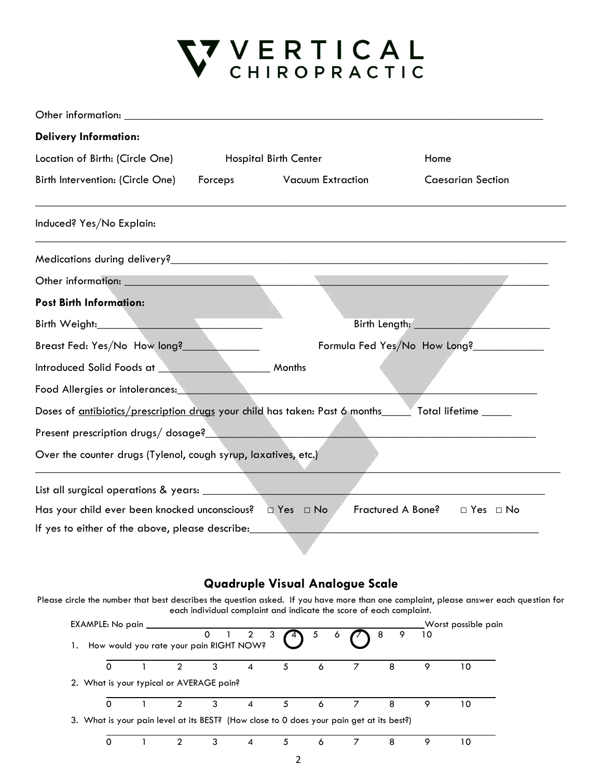# V VERTICAL<br>V CHIROPRACTIC

| <b>Delivery Information:</b>                                                                         |                              |                          |                             |                                   |
|------------------------------------------------------------------------------------------------------|------------------------------|--------------------------|-----------------------------|-----------------------------------|
| Location of Birth: (Circle One)                                                                      | <b>Hospital Birth Center</b> |                          | Home                        |                                   |
| Birth Intervention: (Circle One)                                                                     | Forceps                      | <b>Vacuum Extraction</b> |                             | <b>Caesarian Section</b>          |
| Induced? Yes/No Explain:                                                                             |                              |                          |                             |                                   |
|                                                                                                      |                              |                          |                             |                                   |
|                                                                                                      |                              |                          | <u> Tanzania (h. 1888).</u> |                                   |
| <b>Post Birth Information:</b>                                                                       |                              |                          |                             |                                   |
| Birth Weight: <b>All Accords</b>                                                                     |                              |                          |                             | Birth Length: <b>Example 2018</b> |
| Breast Fed: Yes/No How long?                                                                         |                              |                          |                             | Formula Fed Yes/No How Long?      |
| Introduced Solid Foods at Months                                                                     |                              |                          |                             |                                   |
| Food Allergies or intolerances:                                                                      |                              |                          |                             |                                   |
| Doses of antibiotics/prescription drugs your child has taken: Past 6 months_____ Total lifetime ____ |                              |                          |                             |                                   |
| and the state of the state of the<br>Present prescription drugs/dosage?                              |                              |                          |                             |                                   |
| Over the counter drugs (Tylenol, cough syrup, laxatives, etc.)                                       |                              |                          |                             |                                   |
|                                                                                                      |                              |                          |                             |                                   |
| Fractured A Bone?<br>$\Box$ Yes $\Box$ No                                                            |                              |                          |                             |                                   |
| If yes to either of the above, please describe:                                                      |                              |                          |                             |                                   |

### **Quadruple Visual Analogue Scale**

Please circle the number that best describes the question asked. If you have more than one complaint, please answer each question for each individual complaint and indicate the score of each complaint.

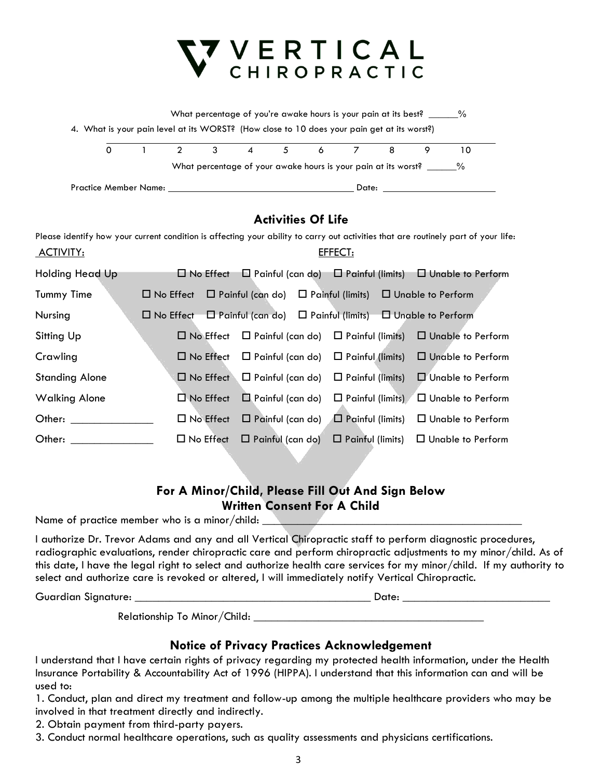## VERTICAL<br>CHIROPRACTIC What percentage of you're awake hours is your pain at its best? \_\_\_\_\_% 4. What is your pain level at its WORST? (How close to 10 does your pain get at its worst?) 0 1 2 3 4 5 6 7 8 9 10 What percentage of your awake hours is your pain at its worst? \_\_\_\_\_\_% Practice Member Name: Date:

### **Activities Of Life**

Please identify how your current condition is affecting your ability to carry out activities that are routinely part of your life: ACTIVITY: EFFECT:

| Holding Head Up                                                                                                                                                                                                                |                                                                                           |  | $\Box$ No Effect $\Box$ Painful (can do) $\Box$ Painful (limits) $\Box$ Unable to Perform |
|--------------------------------------------------------------------------------------------------------------------------------------------------------------------------------------------------------------------------------|-------------------------------------------------------------------------------------------|--|-------------------------------------------------------------------------------------------|
| Tummy Time                                                                                                                                                                                                                     | $\Box$ No Effect $\Box$ Painful (can do) $\Box$ Painful (limits) $\Box$ Unable to Perform |  |                                                                                           |
| Nursing                                                                                                                                                                                                                        | $\Box$ No Effect $\Box$ Painful (can do) $\Box$ Painful (limits) $\Box$ Unable to Perform |  |                                                                                           |
| Sitting Up                                                                                                                                                                                                                     |                                                                                           |  | $\Box$ No Effect $\Box$ Painful (can do) $\Box$ Painful (limits) $\Box$ Unable to Perform |
| Crawling                                                                                                                                                                                                                       |                                                                                           |  | $\Box$ No Effect $\Box$ Painful (can do) $\Box$ Painful (limits) $\Box$ Unable to Perform |
| <b>Standing Alone</b>                                                                                                                                                                                                          |                                                                                           |  | $\Box$ No Effect $\Box$ Painful (can do) $\Box$ Painful (limits) $\Box$ Unable to Perform |
| <b>Walking Alone</b>                                                                                                                                                                                                           |                                                                                           |  | $\Box$ No Effect $\Box$ Painful (can do) $\Box$ Painful (limits) $\Box$ Unable to Perform |
| Other: and the control of the control of the control of the control of the control of the control of the control of the control of the control of the control of the control of the control of the control of the control of t |                                                                                           |  | $\Box$ No Effect $\Box$ Painful (can do) $\Box$ Painful (limits) $\Box$ Unable to Perform |
| Other:                                                                                                                                                                                                                         |                                                                                           |  | $\Box$ No Effect $\Box$ Painful (can do) $\Box$ Painful (limits) $\Box$ Unable to Perform |

### **For A Minor/Child, Please Fill Out And Sign Below Written Consent For A Child**

Name of practice member who is a minor/child:

I authorize Dr. Trevor Adams and any and all Vertical Chiropractic staff to perform diagnostic procedures, radiographic evaluations, render chiropractic care and perform chiropractic adjustments to my minor/child. As of this date, I have the legal right to select and authorize health care services for my minor/child. If my authority to select and authorize care is revoked or altered, I will immediately notify Vertical Chiropractic.

Guardian Signature: \_\_\_\_\_\_\_\_\_\_\_\_\_\_\_\_\_\_\_\_\_\_\_\_\_\_\_\_\_\_\_\_\_\_\_\_\_\_\_\_ Date: \_\_\_\_\_\_\_\_\_\_\_\_\_\_\_\_\_\_\_\_\_\_\_\_\_

Relationship To Minor/Child:

### **Notice of Privacy Practices Acknowledgement**

I understand that I have certain rights of privacy regarding my protected health information, under the Health Insurance Portability & Accountability Act of 1996 (HIPPA). I understand that this information can and will be used to:

1. Conduct, plan and direct my treatment and follow-up among the multiple healthcare providers who may be involved in that treatment directly and indirectly.

2. Obtain payment from third-party payers.

3. Conduct normal healthcare operations, such as quality assessments and physicians certifications.